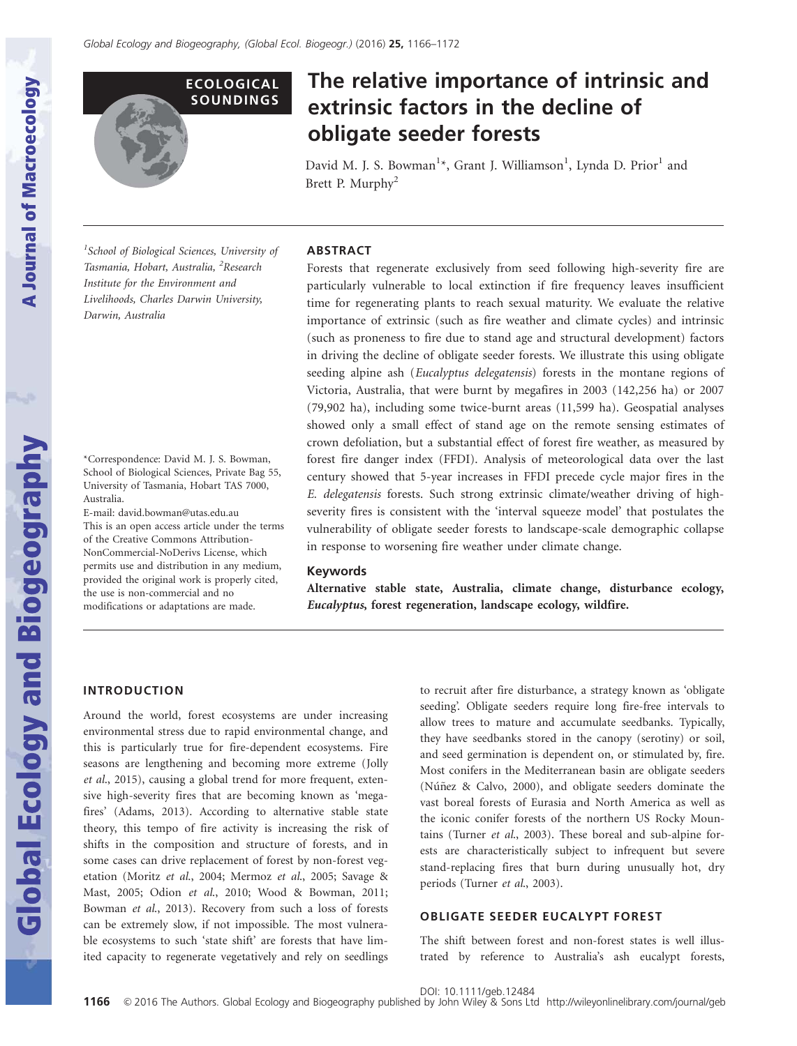

# The relative importance of intrinsic and extrinsic factors in the decline of obligate seeder forests

David M. J. S. Bowman<sup>1</sup>\*, Grant J. Williamson<sup>1</sup>, Lynda D. Prior<sup>1</sup> and Brett P. Murphy<sup>2</sup>

<sup>1</sup>School of Biological Sciences, University of Tasmania, Hobart, Australia, <sup>2</sup>Research Institute for the Environment and Livelihoods, Charles Darwin University, Darwin, Australia

\*Correspondence: David M. J. S. Bowman, School of Biological Sciences, Private Bag 55, University of Tasmania, Hobart TAS 7000, Australia.

E-mail: david.bowman@utas.edu.au This is an open access article under the terms of the [Creative Commons Attribution-](http://creativecommons.org/licenses/by-nc-nd/3.0/)[NonCommercial-NoDerivs](http://creativecommons.org/licenses/by-nc-nd/3.0/) License, which permits use and distribution in any medium, provided the original work is properly cited, the use is non-commercial and no modifications or adaptations are made.

# ABSTRACT

Forests that regenerate exclusively from seed following high-severity fire are particularly vulnerable to local extinction if fire frequency leaves insufficient time for regenerating plants to reach sexual maturity. We evaluate the relative importance of extrinsic (such as fire weather and climate cycles) and intrinsic (such as proneness to fire due to stand age and structural development) factors in driving the decline of obligate seeder forests. We illustrate this using obligate seeding alpine ash *(Eucalyptus delegatensis)* forests in the montane regions of Victoria, Australia, that were burnt by megafires in 2003 (142,256 ha) or 2007 (79,902 ha), including some twice-burnt areas (11,599 ha). Geospatial analyses showed only a small effect of stand age on the remote sensing estimates of crown defoliation, but a substantial effect of forest fire weather, as measured by forest fire danger index (FFDI). Analysis of meteorological data over the last century showed that 5-year increases in FFDI precede cycle major fires in the E. delegatensis forests. Such strong extrinsic climate/weather driving of highseverity fires is consistent with the 'interval squeeze model' that postulates the vulnerability of obligate seeder forests to landscape-scale demographic collapse in response to worsening fire weather under climate change.

### Keywords

Alternative stable state, Australia, climate change, disturbance ecology, Eucalyptus, forest regeneration, landscape ecology, wildfire.

#### INTRODUCTION

Around the world, forest ecosystems are under increasing environmental stress due to rapid environmental change, and this is particularly true for fire-dependent ecosystems. Fire seasons are lengthening and becoming more extreme (Jolly et al., 2015), causing a global trend for more frequent, extensive high-severity fires that are becoming known as 'megafires' (Adams, 2013). According to alternative stable state theory, this tempo of fire activity is increasing the risk of shifts in the composition and structure of forests, and in some cases can drive replacement of forest by non-forest vegetation (Moritz et al., 2004; Mermoz et al., 2005; Savage & Mast, 2005; Odion et al., 2010; Wood & Bowman, 2011; Bowman et al., 2013). Recovery from such a loss of forests can be extremely slow, if not impossible. The most vulnerable ecosystems to such 'state shift' are forests that have limited capacity to regenerate vegetatively and rely on seedlings

to recruit after fire disturbance, a strategy known as 'obligate seeding'. Obligate seeders require long fire-free intervals to allow trees to mature and accumulate seedbanks. Typically, they have seedbanks stored in the canopy (serotiny) or soil, and seed germination is dependent on, or stimulated by, fire. Most conifers in the Mediterranean basin are obligate seeders (Núñez & Calvo, 2000), and obligate seeders dominate the vast boreal forests of Eurasia and North America as well as the iconic conifer forests of the northern US Rocky Mountains (Turner et al., 2003). These boreal and sub-alpine forests are characteristically subject to infrequent but severe stand-replacing fires that burn during unusually hot, dry periods (Turner et al., 2003).

#### OBLIGATE SEEDER EUCALYPT FOREST

The shift between forest and non-forest states is well illustrated by reference to Australia's ash eucalypt forests,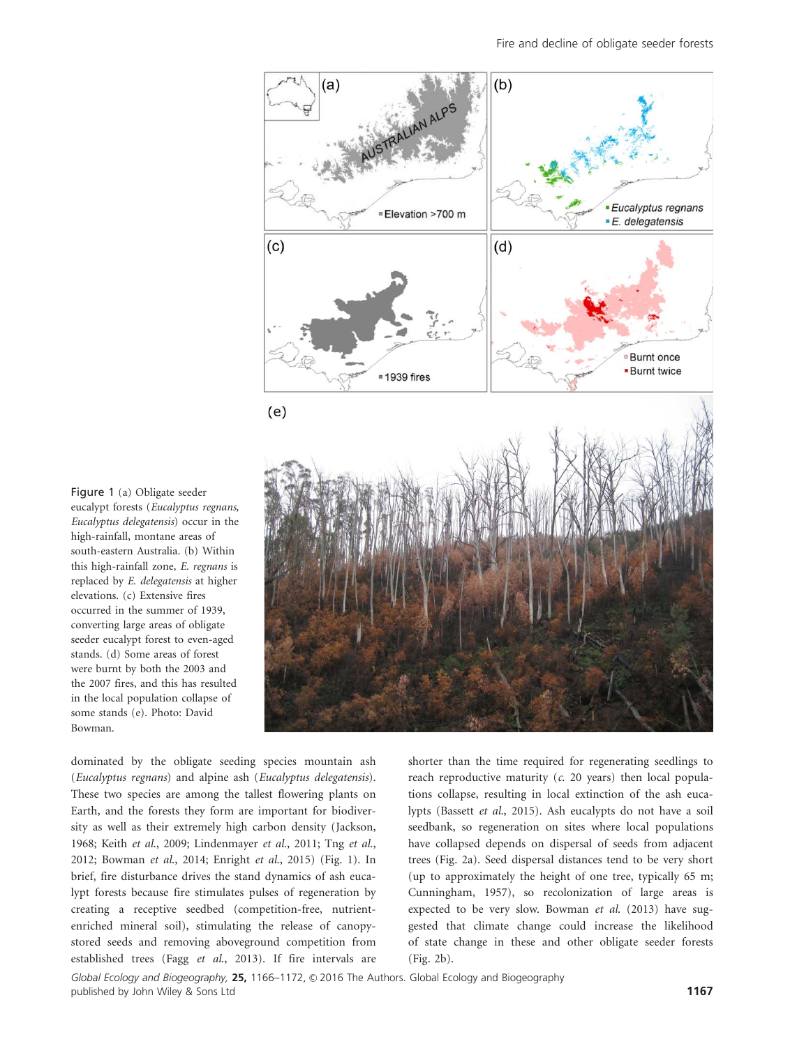

Figure 1 (a) Obligate seeder eucalypt forests (Eucalyptus regnans, Eucalyptus delegatensis) occur in the high-rainfall, montane areas of south-eastern Australia. (b) Within this high-rainfall zone, E. regnans is replaced by E. delegatensis at higher elevations. (c) Extensive fires occurred in the summer of 1939, converting large areas of obligate seeder eucalypt forest to even-aged stands. (d) Some areas of forest were burnt by both the 2003 and the 2007 fires, and this has resulted in the local population collapse of some stands (e). Photo: David Bowman.

dominated by the obligate seeding species mountain ash (Eucalyptus regnans) and alpine ash (Eucalyptus delegatensis). These two species are among the tallest flowering plants on Earth, and the forests they form are important for biodiversity as well as their extremely high carbon density (Jackson, 1968; Keith et al., 2009; Lindenmayer et al., 2011; Tng et al., 2012; Bowman et al., 2014; Enright et al., 2015) (Fig. 1). In brief, fire disturbance drives the stand dynamics of ash eucalypt forests because fire stimulates pulses of regeneration by creating a receptive seedbed (competition-free, nutrientenriched mineral soil), stimulating the release of canopystored seeds and removing aboveground competition from established trees (Fagg et al., 2013). If fire intervals are

shorter than the time required for regenerating seedlings to reach reproductive maturity  $(c. 20 \text{ years})$  then local populations collapse, resulting in local extinction of the ash eucalypts (Bassett et al., 2015). Ash eucalypts do not have a soil seedbank, so regeneration on sites where local populations have collapsed depends on dispersal of seeds from adjacent trees (Fig. 2a). Seed dispersal distances tend to be very short (up to approximately the height of one tree, typically 65 m; Cunningham, 1957), so recolonization of large areas is expected to be very slow. Bowman et al. (2013) have suggested that climate change could increase the likelihood of state change in these and other obligate seeder forests (Fig. 2b).

Global Ecology and Biogeography, 25, 1166-1172, © 2016 The Authors. Global Ecology and Biogeography published by John Wiley & Sons Ltd 1167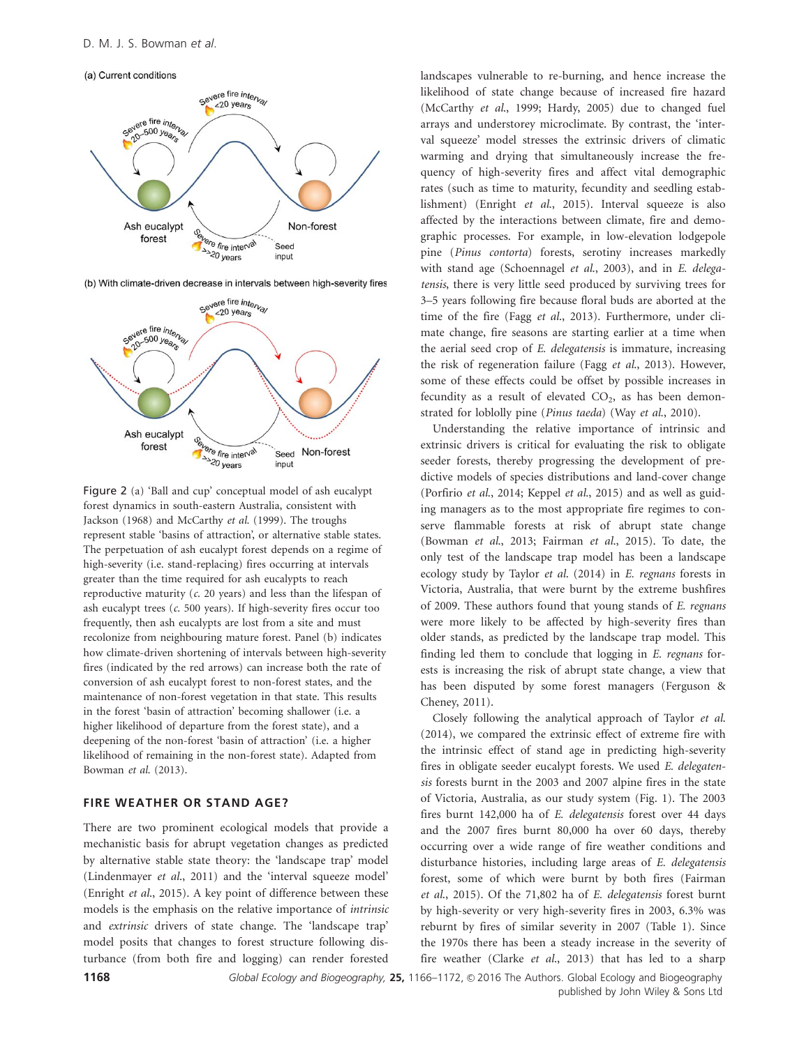(a) Current conditions



(b) With climate-driven decrease in intervals between high-severity fires



Figure 2 (a) 'Ball and cup' conceptual model of ash eucalypt forest dynamics in south-eastern Australia, consistent with Jackson (1968) and McCarthy et al. (1999). The troughs represent stable 'basins of attraction', or alternative stable states. The perpetuation of ash eucalypt forest depends on a regime of high-severity (i.e. stand-replacing) fires occurring at intervals greater than the time required for ash eucalypts to reach reproductive maturity  $(c. 20 \text{ years})$  and less than the lifespan of ash eucalypt trees (c. 500 years). If high-severity fires occur too frequently, then ash eucalypts are lost from a site and must recolonize from neighbouring mature forest. Panel (b) indicates how climate-driven shortening of intervals between high-severity fires (indicated by the red arrows) can increase both the rate of conversion of ash eucalypt forest to non-forest states, and the maintenance of non-forest vegetation in that state. This results in the forest 'basin of attraction' becoming shallower (i.e. a higher likelihood of departure from the forest state), and a deepening of the non-forest 'basin of attraction' (i.e. a higher likelihood of remaining in the non-forest state). Adapted from Bowman et al. (2013).

### FIRE WEATHER OR STAND AGE?

There are two prominent ecological models that provide a mechanistic basis for abrupt vegetation changes as predicted by alternative stable state theory: the 'landscape trap' model (Lindenmayer et al., 2011) and the 'interval squeeze model' (Enright et al., 2015). A key point of difference between these models is the emphasis on the relative importance of intrinsic and extrinsic drivers of state change. The 'landscape trap' model posits that changes to forest structure following disturbance (from both fire and logging) can render forested landscapes vulnerable to re-burning, and hence increase the likelihood of state change because of increased fire hazard (McCarthy et al., 1999; Hardy, 2005) due to changed fuel arrays and understorey microclimate. By contrast, the 'interval squeeze' model stresses the extrinsic drivers of climatic warming and drying that simultaneously increase the frequency of high-severity fires and affect vital demographic rates (such as time to maturity, fecundity and seedling establishment) (Enright et al., 2015). Interval squeeze is also affected by the interactions between climate, fire and demographic processes. For example, in low-elevation lodgepole pine (Pinus contorta) forests, serotiny increases markedly with stand age (Schoennagel et al., 2003), and in E. delegatensis, there is very little seed produced by surviving trees for 3–5 years following fire because floral buds are aborted at the time of the fire (Fagg et al., 2013). Furthermore, under climate change, fire seasons are starting earlier at a time when the aerial seed crop of E. delegatensis is immature, increasing the risk of regeneration failure (Fagg et al., 2013). However, some of these effects could be offset by possible increases in fecundity as a result of elevated  $CO<sub>2</sub>$ , as has been demonstrated for loblolly pine (Pinus taeda) (Way et al., 2010).

Understanding the relative importance of intrinsic and extrinsic drivers is critical for evaluating the risk to obligate seeder forests, thereby progressing the development of predictive models of species distributions and land-cover change (Porfirio et al., 2014; Keppel et al., 2015) and as well as guiding managers as to the most appropriate fire regimes to conserve flammable forests at risk of abrupt state change (Bowman et al., 2013; Fairman et al., 2015). To date, the only test of the landscape trap model has been a landscape ecology study by Taylor et al. (2014) in E. regnans forests in Victoria, Australia, that were burnt by the extreme bushfires of 2009. These authors found that young stands of E. regnans were more likely to be affected by high-severity fires than older stands, as predicted by the landscape trap model. This finding led them to conclude that logging in E. regnans forests is increasing the risk of abrupt state change, a view that has been disputed by some forest managers (Ferguson & Cheney, 2011).

Closely following the analytical approach of Taylor et al. (2014), we compared the extrinsic effect of extreme fire with the intrinsic effect of stand age in predicting high-severity fires in obligate seeder eucalypt forests. We used E. delegatensis forests burnt in the 2003 and 2007 alpine fires in the state of Victoria, Australia, as our study system (Fig. 1). The 2003 fires burnt 142,000 ha of E. delegatensis forest over 44 days and the 2007 fires burnt 80,000 ha over 60 days, thereby occurring over a wide range of fire weather conditions and disturbance histories, including large areas of E. delegatensis forest, some of which were burnt by both fires (Fairman et al., 2015). Of the 71,802 ha of E. delegatensis forest burnt by high-severity or very high-severity fires in 2003, 6.3% was reburnt by fires of similar severity in 2007 (Table 1). Since the 1970s there has been a steady increase in the severity of fire weather (Clarke et al., 2013) that has led to a sharp

1168 Global Ecology and Biogeography, 25, 1166-1172, © 2016 The Authors. Global Ecology and Biogeography published by John Wiley & Sons Ltd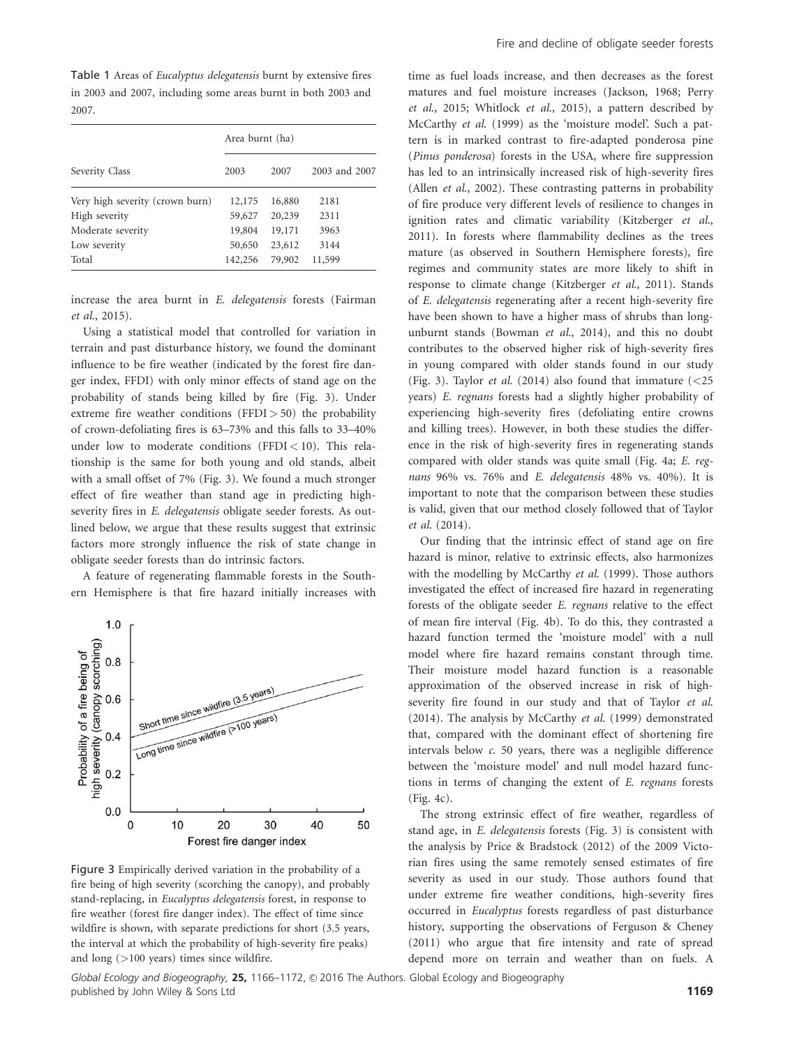Table 1 Areas of Eucalyptus delegatensis burnt by extensive fires in 2003 and 2007, including some areas burnt in both 2003 and 2007.

| Severity Class                  | Area burnt (ha) |        |               |
|---------------------------------|-----------------|--------|---------------|
|                                 | 2003            | 2007   | 2003 and 2007 |
| Very high severity (crown burn) | 12,175          | 16,880 | 2181          |
| High severity                   | 59,627          | 20,239 | 2311          |
| Moderate severity               | 19,804          | 19,171 | 3963          |
| Low severity                    | 50,650          | 23,612 | 3144          |
| Total                           | 142,256         | 79,902 | 11,599        |

increase the area burnt in E. delegatensis forests (Fairman et al., 2015).

Using a statistical model that controlled for variation in terrain and past disturbance history, we found the dominant influence to be fire weather (indicated by the forest fire danger index, FFDI) with only minor effects of stand age on the probability of stands being killed by fire (Fig. 3). Under extreme fire weather conditions (FFDI $>$  50) the probability of crown-defoliating fires is 63–73% and this falls to 33–40% under low to moderate conditions (FFDI  $< 10$ ). This relationship is the same for both young and old stands, albeit with a small offset of 7% (Fig. 3). We found a much stronger effect of fire weather than stand age in predicting highseverity fires in E. delegatensis obligate seeder forests. As outlined below, we argue that these results suggest that extrinsic factors more strongly influence the risk of state change in obligate seeder forests than do intrinsic factors.

A feature of regenerating flammable forests in the Southern Hemisphere is that fire hazard initially increases with



Figure 3 Empirically derived variation in the probability of a fire being of high severity (scorching the canopy), and probably stand-replacing, in Eucalyptus delegatensis forest, in response to fire weather (forest fire danger index). The effect of time since wildfire is shown, with separate predictions for short (3.5 years, the interval at which the probability of high-severity fire peaks) and long (>100 years) times since wildfire.

time as fuel loads increase, and then decreases as the forest matures and fuel moisture increases (Jackson, 1968; Perry et al., 2015; Whitlock et al., 2015), a pattern described by McCarthy et al. (1999) as the 'moisture model'. Such a pattern is in marked contrast to fire-adapted ponderosa pine (Pinus ponderosa) forests in the USA, where fire suppression has led to an intrinsically increased risk of high-severity fires (Allen et al., 2002). These contrasting patterns in probability of fire produce very different levels of resilience to changes in ignition rates and climatic variability (Kitzberger et al., 2011). In forests where flammability declines as the trees mature (as observed in Southern Hemisphere forests), fire regimes and community states are more likely to shift in response to climate change (Kitzberger et al., 2011). Stands of E. delegatensis regenerating after a recent high-severity fire have been shown to have a higher mass of shrubs than longunburnt stands (Bowman et al., 2014), and this no doubt contributes to the observed higher risk of high-severity fires in young compared with older stands found in our study (Fig. 3). Taylor *et al.* (2014) also found that immature  $\ll$  25 years) E. regnans forests had a slightly higher probability of experiencing high-severity fires (defoliating entire crowns and killing trees). However, in both these studies the difference in the risk of high-severity fires in regenerating stands compared with older stands was quite small (Fig. 4a; E. regnans 96% vs. 76% and E. delegatensis 48% vs. 40%). It is important to note that the comparison between these studies is valid, given that our method closely followed that of Taylor et al. (2014).

Our finding that the intrinsic effect of stand age on fire hazard is minor, relative to extrinsic effects, also harmonizes with the modelling by McCarthy et al. (1999). Those authors investigated the effect of increased fire hazard in regenerating forests of the obligate seeder E. regnans relative to the effect of mean fire interval (Fig. 4b). To do this, they contrasted a hazard function termed the 'moisture model' with a null model where fire hazard remains constant through time. Their moisture model hazard function is a reasonable approximation of the observed increase in risk of highseverity fire found in our study and that of Taylor et al. (2014). The analysis by McCarthy et al. (1999) demonstrated that, compared with the dominant effect of shortening fire intervals below c. 50 years, there was a negligible difference between the 'moisture model' and null model hazard functions in terms of changing the extent of E. regnans forests (Fig. 4c).

The strong extrinsic effect of fire weather, regardless of stand age, in E. delegatensis forests (Fig. 3) is consistent with the analysis by Price & Bradstock (2012) of the 2009 Victorian fires using the same remotely sensed estimates of fire severity as used in our study. Those authors found that under extreme fire weather conditions, high-severity fires occurred in Eucalyptus forests regardless of past disturbance history, supporting the observations of Ferguson & Cheney (2011) who argue that fire intensity and rate of spread depend more on terrain and weather than on fuels. A

Global Ecology and Biogeography, 25, 1166-1172, © 2016 The Authors. Global Ecology and Biogeography published by John Wiley & Sons Ltd 1169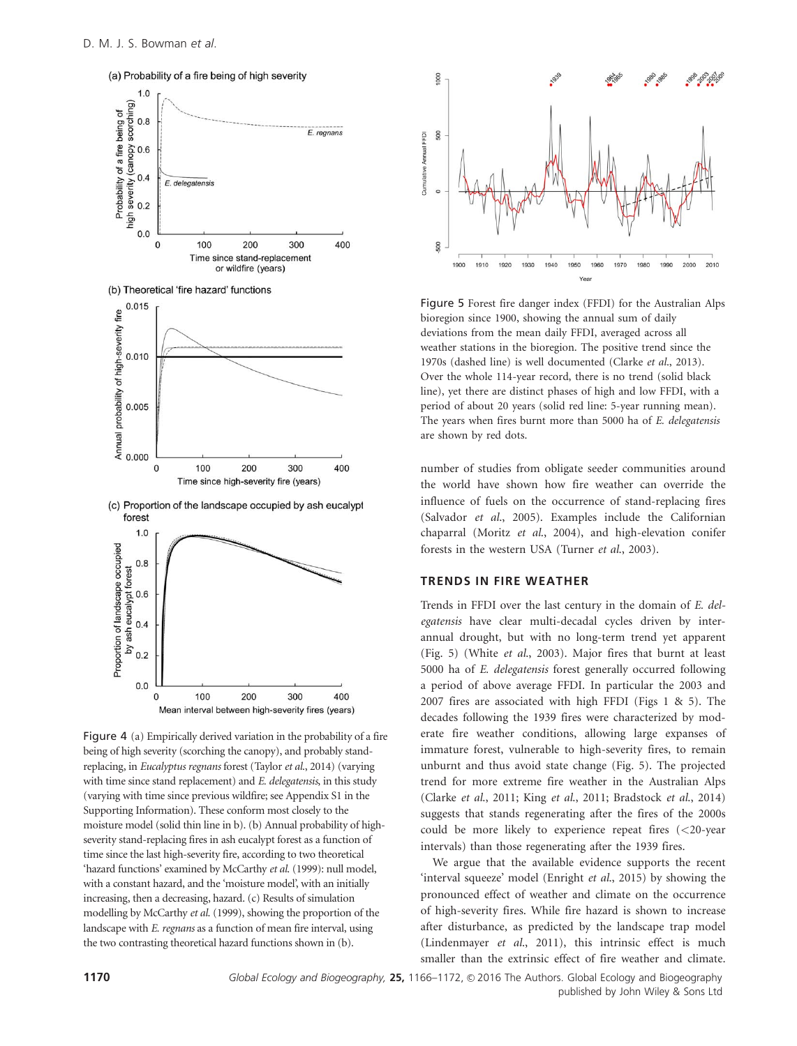

Figure 4 (a) Empirically derived variation in the probability of a fire being of high severity (scorching the canopy), and probably standreplacing, in Eucalyptus regnans forest (Taylor et al., 2014) (varying with time since stand replacement) and E. delegatensis, in this study (varying with time since previous wildfire; see Appendix S1 in the Supporting Information). These conform most closely to the moisture model (solid thin line in b). (b) Annual probability of highseverity stand-replacing fires in ash eucalypt forest as a function of time since the last high-severity fire, according to two theoretical 'hazard functions' examined by McCarthy et al. (1999): null model, with a constant hazard, and the 'moisture model', with an initially increasing, then a decreasing, hazard. (c) Results of simulation modelling by McCarthy et al. (1999), showing the proportion of the landscape with E. regnans as a function of mean fire interval, using the two contrasting theoretical hazard functions shown in (b).



Figure 5 Forest fire danger index (FFDI) for the Australian Alps bioregion since 1900, showing the annual sum of daily deviations from the mean daily FFDI, averaged across all weather stations in the bioregion. The positive trend since the 1970s (dashed line) is well documented (Clarke et al., 2013). Over the whole 114-year record, there is no trend (solid black line), yet there are distinct phases of high and low FFDI, with a period of about 20 years (solid red line: 5-year running mean). The years when fires burnt more than 5000 ha of E. delegatensis are shown by red dots.

number of studies from obligate seeder communities around the world have shown how fire weather can override the influence of fuels on the occurrence of stand-replacing fires (Salvador et al., 2005). Examples include the Californian chaparral (Moritz et al., 2004), and high-elevation conifer forests in the western USA (Turner et al., 2003).

## TRENDS IN FIRE WEATHER

Trends in FFDI over the last century in the domain of E. delegatensis have clear multi-decadal cycles driven by interannual drought, but with no long-term trend yet apparent (Fig. 5) (White et al., 2003). Major fires that burnt at least 5000 ha of E. delegatensis forest generally occurred following a period of above average FFDI. In particular the 2003 and 2007 fires are associated with high FFDI (Figs 1 & 5). The decades following the 1939 fires were characterized by moderate fire weather conditions, allowing large expanses of immature forest, vulnerable to high-severity fires, to remain unburnt and thus avoid state change (Fig. 5). The projected trend for more extreme fire weather in the Australian Alps (Clarke et al., 2011; King et al., 2011; Bradstock et al., 2014) suggests that stands regenerating after the fires of the 2000s could be more likely to experience repeat fires (<20-year intervals) than those regenerating after the 1939 fires.

We argue that the available evidence supports the recent 'interval squeeze' model (Enright et al., 2015) by showing the pronounced effect of weather and climate on the occurrence of high-severity fires. While fire hazard is shown to increase after disturbance, as predicted by the landscape trap model (Lindenmayer et al., 2011), this intrinsic effect is much smaller than the extrinsic effect of fire weather and climate.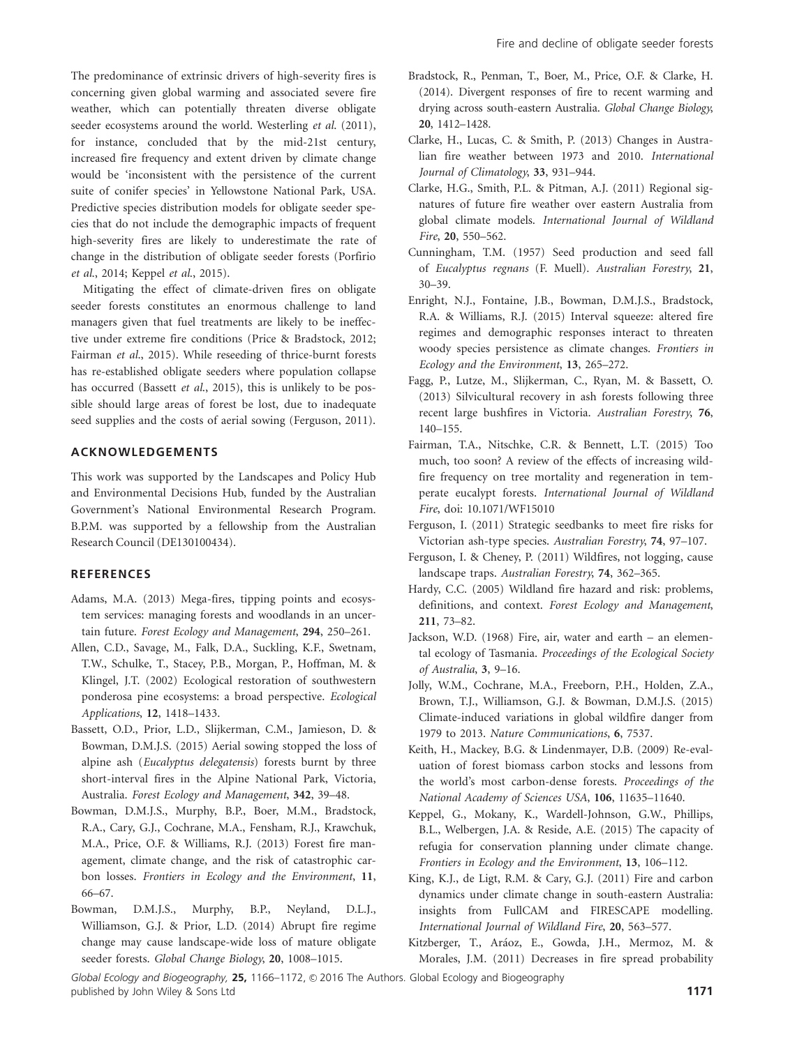The predominance of extrinsic drivers of high-severity fires is concerning given global warming and associated severe fire weather, which can potentially threaten diverse obligate seeder ecosystems around the world. Westerling et al. (2011), for instance, concluded that by the mid-21st century, increased fire frequency and extent driven by climate change would be 'inconsistent with the persistence of the current suite of conifer species' in Yellowstone National Park, USA. Predictive species distribution models for obligate seeder species that do not include the demographic impacts of frequent high-severity fires are likely to underestimate the rate of change in the distribution of obligate seeder forests (Porfirio et al., 2014; Keppel et al., 2015).

Mitigating the effect of climate-driven fires on obligate seeder forests constitutes an enormous challenge to land managers given that fuel treatments are likely to be ineffective under extreme fire conditions (Price & Bradstock, 2012; Fairman et al., 2015). While reseeding of thrice-burnt forests has re-established obligate seeders where population collapse has occurred (Bassett et al., 2015), this is unlikely to be possible should large areas of forest be lost, due to inadequate seed supplies and the costs of aerial sowing (Ferguson, 2011).

#### ACKNOWLEDGEMENTS

This work was supported by the Landscapes and Policy Hub and Environmental Decisions Hub, funded by the Australian Government's National Environmental Research Program. B.P.M. was supported by a fellowship from the Australian Research Council (DE130100434).

# **REFERENCES**

- Adams, M.A. (2013) Mega-fires, tipping points and ecosystem services: managing forests and woodlands in an uncertain future. Forest Ecology and Management, 294, 250–261.
- Allen, C.D., Savage, M., Falk, D.A., Suckling, K.F., Swetnam, T.W., Schulke, T., Stacey, P.B., Morgan, P., Hoffman, M. & Klingel, J.T. (2002) Ecological restoration of southwestern ponderosa pine ecosystems: a broad perspective. Ecological Applications, 12, 1418–1433.
- Bassett, O.D., Prior, L.D., Slijkerman, C.M., Jamieson, D. & Bowman, D.M.J.S. (2015) Aerial sowing stopped the loss of alpine ash (Eucalyptus delegatensis) forests burnt by three short-interval fires in the Alpine National Park, Victoria, Australia. Forest Ecology and Management, 342, 39–48.
- Bowman, D.M.J.S., Murphy, B.P., Boer, M.M., Bradstock, R.A., Cary, G.J., Cochrane, M.A., Fensham, R.J., Krawchuk, M.A., Price, O.F. & Williams, R.J. (2013) Forest fire management, climate change, and the risk of catastrophic carbon losses. Frontiers in Ecology and the Environment, 11, 66–67.
- Bowman, D.M.J.S., Murphy, B.P., Neyland, D.L.J., Williamson, G.J. & Prior, L.D. (2014) Abrupt fire regime change may cause landscape-wide loss of mature obligate seeder forests. Global Change Biology, 20, 1008–1015.
- Bradstock, R., Penman, T., Boer, M., Price, O.F. & Clarke, H. (2014). Divergent responses of fire to recent warming and drying across south-eastern Australia. Global Change Biology, 20, 1412–1428.
- Clarke, H., Lucas, C. & Smith, P. (2013) Changes in Australian fire weather between 1973 and 2010. International Journal of Climatology, 33, 931–944.
- Clarke, H.G., Smith, P.L. & Pitman, A.J. (2011) Regional signatures of future fire weather over eastern Australia from global climate models. International Journal of Wildland Fire, 20, 550–562.
- Cunningham, T.M. (1957) Seed production and seed fall of Eucalyptus regnans (F. Muell). Australian Forestry, 21, 30–39.
- Enright, N.J., Fontaine, J.B., Bowman, D.M.J.S., Bradstock, R.A. & Williams, R.J. (2015) Interval squeeze: altered fire regimes and demographic responses interact to threaten woody species persistence as climate changes. Frontiers in Ecology and the Environment, 13, 265–272.
- Fagg, P., Lutze, M., Slijkerman, C., Ryan, M. & Bassett, O. (2013) Silvicultural recovery in ash forests following three recent large bushfires in Victoria. Australian Forestry, 76, 140–155.
- Fairman, T.A., Nitschke, C.R. & Bennett, L.T. (2015) Too much, too soon? A review of the effects of increasing wildfire frequency on tree mortality and regeneration in temperate eucalypt forests. International Journal of Wildland Fire, doi: [10.1071/WF15010](info:doi/10.1071/WF15010)
- Ferguson, I. (2011) Strategic seedbanks to meet fire risks for Victorian ash-type species. Australian Forestry, 74, 97–107.
- Ferguson, I. & Cheney, P. (2011) Wildfires, not logging, cause landscape traps. Australian Forestry, 74, 362–365.
- Hardy, C.C. (2005) Wildland fire hazard and risk: problems, definitions, and context. Forest Ecology and Management, 211, 73–82.
- Jackson, W.D. (1968) Fire, air, water and earth an elemental ecology of Tasmania. Proceedings of the Ecological Society of Australia, 3, 9–16.
- Jolly, W.M., Cochrane, M.A., Freeborn, P.H., Holden, Z.A., Brown, T.J., Williamson, G.J. & Bowman, D.M.J.S. (2015) Climate-induced variations in global wildfire danger from 1979 to 2013. Nature Communications, 6, 7537.
- Keith, H., Mackey, B.G. & Lindenmayer, D.B. (2009) Re-evaluation of forest biomass carbon stocks and lessons from the world's most carbon-dense forests. Proceedings of the National Academy of Sciences USA, 106, 11635–11640.
- Keppel, G., Mokany, K., Wardell-Johnson, G.W., Phillips, B.L., Welbergen, J.A. & Reside, A.E. (2015) The capacity of refugia for conservation planning under climate change. Frontiers in Ecology and the Environment, 13, 106–112.
- King, K.J., de Ligt, R.M. & Cary, G.J. (2011) Fire and carbon dynamics under climate change in south-eastern Australia: insights from FullCAM and FIRESCAPE modelling. International Journal of Wildland Fire, 20, 563–577.
- Kitzberger, T., Aráoz, E., Gowda, J.H., Mermoz, M. & Morales, J.M. (2011) Decreases in fire spread probability

Global Ecology and Biogeography, 25, 1166-1172, © 2016 The Authors. Global Ecology and Biogeography published by John Wiley & Sons Ltd 1171 and the United States of the United States of the 1171 and 1171 and 1171